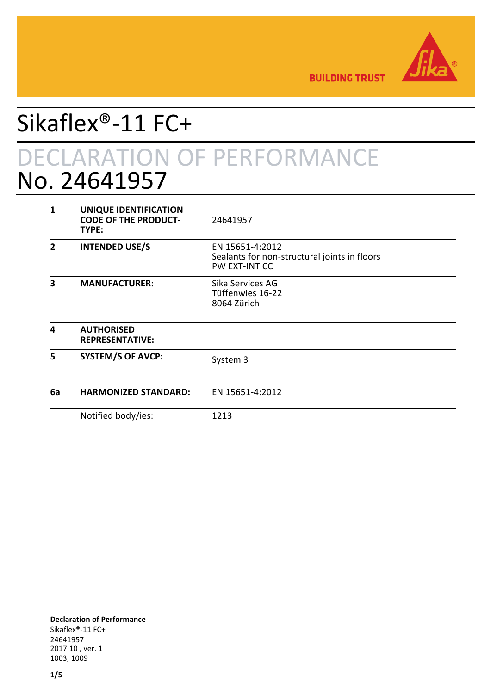

**BUILDING TRUST** 

# Sikaflex®-11 FC+ DECLARATION OF PERFORMANCE No. 24641957

| 1              | UNIQUE IDENTIFICATION<br><b>CODE OF THE PRODUCT-</b><br>TYPE: | 24641957                                                                         |
|----------------|---------------------------------------------------------------|----------------------------------------------------------------------------------|
| $\mathfrak{p}$ | <b>INTENDED USE/S</b>                                         | EN 15651-4:2012<br>Sealants for non-structural joints in floors<br>PW EXT-INT CC |
| 3              | <b>MANUFACTURER:</b>                                          | Sika Services AG<br>Tüffenwies 16-22<br>8064 Zürich                              |
| 4              | <b>AUTHORISED</b><br><b>REPRESENTATIVE:</b>                   |                                                                                  |
| 5              | <b>SYSTEM/S OF AVCP:</b>                                      | System 3                                                                         |
| 6a             | <b>HARMONIZED STANDARD:</b>                                   | EN 15651-4:2012                                                                  |
|                | Notified body/ies:                                            | 1213                                                                             |

**Declaration of Performance** Sikaflex®-11 FC+ 24641957 2017.10 , ver. 1 1003, 1009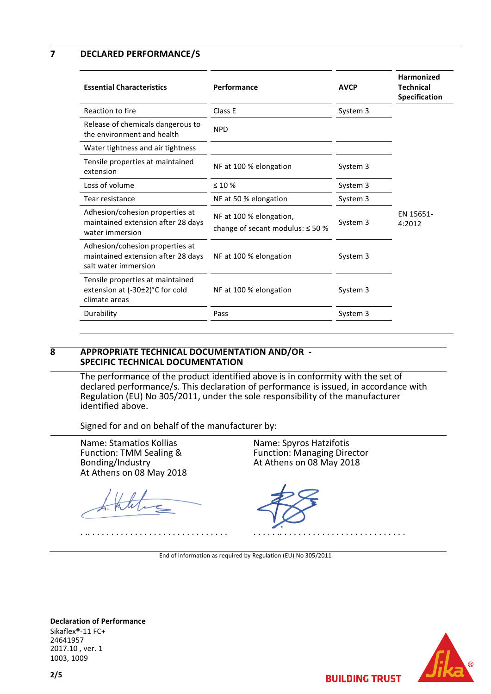### **7 DECLARED PERFORMANCE/S**

| <b>Essential Characteristics</b>                                                              | Performance                                                      | <b>AVCP</b> | Harmonized<br><b>Technical</b><br><b>Specification</b> |
|-----------------------------------------------------------------------------------------------|------------------------------------------------------------------|-------------|--------------------------------------------------------|
| Reaction to fire                                                                              | Class E                                                          | System 3    |                                                        |
| Release of chemicals dangerous to<br>the environment and health                               | <b>NPD</b>                                                       |             |                                                        |
| Water tightness and air tightness                                                             |                                                                  |             |                                                        |
| Tensile properties at maintained<br>extension                                                 | NF at 100 % elongation                                           | System 3    |                                                        |
| Loss of volume                                                                                | $\leq 10\%$                                                      | System 3    |                                                        |
| Tear resistance                                                                               | NF at 50 % elongation                                            | System 3    |                                                        |
| Adhesion/cohesion properties at<br>maintained extension after 28 days<br>water immersion      | NF at 100 % elongation,<br>change of secant modulus: $\leq$ 50 % | System 3    | EN 15651-<br>4:2012                                    |
| Adhesion/cohesion properties at<br>maintained extension after 28 days<br>salt water immersion | NF at 100 % elongation                                           | System 3    |                                                        |
| Tensile properties at maintained<br>extension at (-30±2)°C for cold<br>climate areas          | NF at 100 % elongation                                           | System 3    |                                                        |
| Durability                                                                                    | Pass                                                             | System 3    |                                                        |
|                                                                                               |                                                                  |             |                                                        |

### **8 APPROPRIATE TECHNICAL DOCUMENTATION AND/OR - SPECIFIC TECHNICAL DOCUMENTATION**

The performance of the product identified above is in conformity with the set of declared performance/s. This declaration of performance is issued, in accordance with Regulation (EU) No 305/2011, under the sole responsibility of the manufacturer identified above.

Signed for and on behalf of the manufacturer by:

Name: Stamatios Kollias Function: TMM Sealing & Bonding/Industry At Athens on 08 May 2018

. .. . . . . . . . . . . . . . . . . . . . . . . . . . . . . .

Name: Spyros Hatzifotis Function: Managing Director At Athens on 08 May 2018

. . . . . .. . . . . . . . . . . . . . . . . . . . . . . . . . .

End of information as required by Regulation (EU) No 305/2011

**Declaration of Performance** Sikaflex®-11 FC+ 24641957 2017.10 , ver. 1 1003, 1009

**BUILDING TRUST**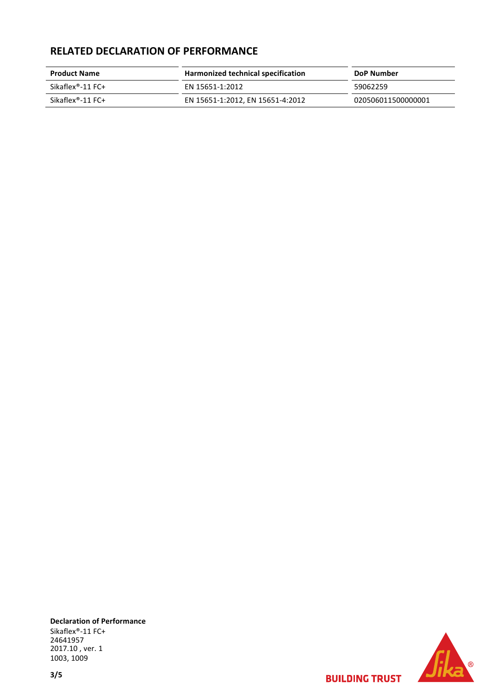## **RELATED DECLARATION OF PERFORMANCE**

| <b>Product Name</b> | Harmonized technical specification | DoP Number         |  |
|---------------------|------------------------------------|--------------------|--|
| Sikaflex®-11 FC+    | FN 15651-1:2012                    | 59062259           |  |
| Sikaflex®-11 FC+    | EN 15651-1:2012, EN 15651-4:2012   | 020506011500000001 |  |

**Declaration of Performance** Sikaflex®-11 FC+ 24641957 2017.10 , ver. 1 1003, 1009

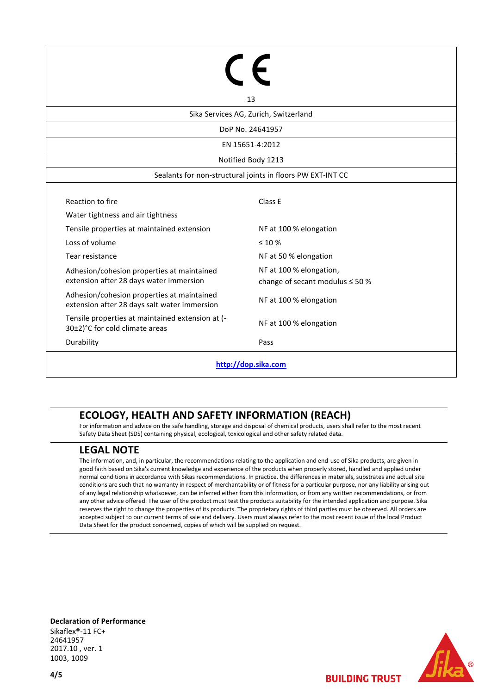| 13                                                                                         |                                                                 |  |  |  |  |
|--------------------------------------------------------------------------------------------|-----------------------------------------------------------------|--|--|--|--|
| Sika Services AG, Zurich, Switzerland                                                      |                                                                 |  |  |  |  |
| DoP No. 24641957                                                                           |                                                                 |  |  |  |  |
| EN 15651-4:2012                                                                            |                                                                 |  |  |  |  |
| Notified Body 1213                                                                         |                                                                 |  |  |  |  |
| Sealants for non-structural joints in floors PW EXT-INT CC                                 |                                                                 |  |  |  |  |
| Reaction to fire                                                                           | Class E                                                         |  |  |  |  |
| Water tightness and air tightness                                                          |                                                                 |  |  |  |  |
| Tensile properties at maintained extension                                                 | NF at 100 % elongation                                          |  |  |  |  |
| Loss of volume                                                                             | $\leq 10\%$                                                     |  |  |  |  |
| Tear resistance                                                                            | NF at 50 % elongation                                           |  |  |  |  |
| Adhesion/cohesion properties at maintained<br>extension after 28 days water immersion      | NF at 100 % elongation,<br>change of secant modulus $\leq 50$ % |  |  |  |  |
| Adhesion/cohesion properties at maintained<br>extension after 28 days salt water immersion | NF at 100 % elongation                                          |  |  |  |  |
| Tensile properties at maintained extension at (-<br>30±2)°C for cold climate areas         | NF at 100 % elongation                                          |  |  |  |  |
| Durability                                                                                 | Pass                                                            |  |  |  |  |
| http://dop.sika.com                                                                        |                                                                 |  |  |  |  |

## **ECOLOGY, HEALTH AND SAFETY INFORMATION (REACH)**

For information and advice on the safe handling, storage and disposal of chemical products, users shall refer to the most recent Safety Data Sheet (SDS) containing physical, ecological, toxicological and other safety related data.

## **LEGAL NOTE**

The information, and, in particular, the recommendations relating to the application and end-use of Sika products, are given in good faith based on Sika's current knowledge and experience of the products when properly stored, handled and applied under normal conditions in accordance with Sikas recommendations. In practice, the differences in materials, substrates and actual site conditions are such that no warranty in respect of merchantability or of fitness for a particular purpose, nor any liability arising out of any legal relationship whatsoever, can be inferred either from this information, or from any written recommendations, or from any other advice offered. The user of the product must test the products suitability for the intended application and purpose. Sika reserves the right to change the properties of its products. The proprietary rights of third parties must be observed. All orders are accepted subject to our current terms of sale and delivery. Users must always refer to the most recent issue of the local Product Data Sheet for the product concerned, copies of which will be supplied on request.

**Declaration of Performance** Sikaflex®-11 FC+ 24641957 2017.10 , ver. 1 1003, 1009

**BUILDING TRUST**